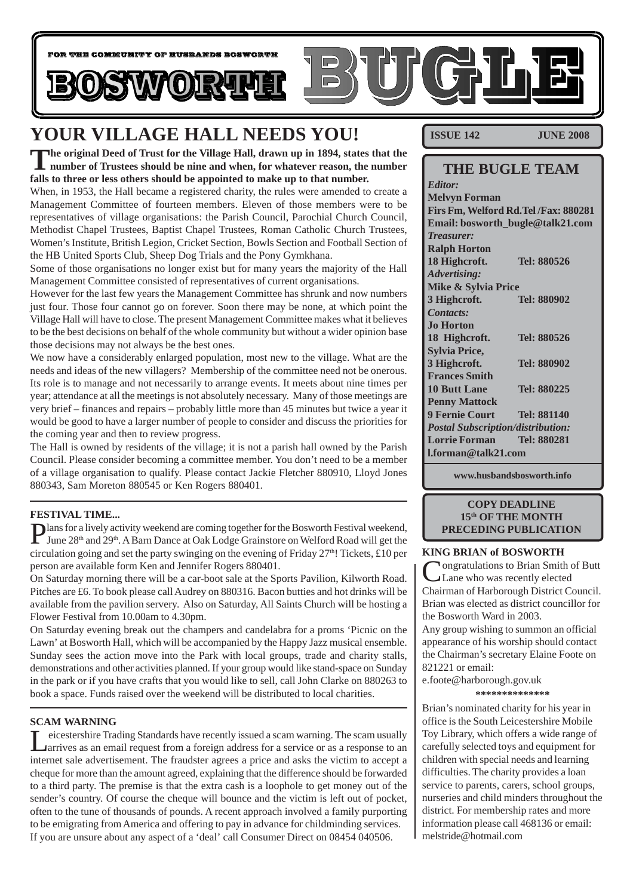

# **YOUR VILLAGE HALL NEEDS YOU!**

**The original Deed of Trust for the Village Hall, drawn up in 1894, states that the number of Trustees should be nine and when, for whatever reason, the number falls to three or less others should be appointed to make up to that number.**

When, in 1953, the Hall became a registered charity, the rules were amended to create a Management Committee of fourteen members. Eleven of those members were to be representatives of village organisations: the Parish Council, Parochial Church Council, Methodist Chapel Trustees, Baptist Chapel Trustees, Roman Catholic Church Trustees, Women's Institute, British Legion, Cricket Section, Bowls Section and Football Section of the HB United Sports Club, Sheep Dog Trials and the Pony Gymkhana.

Some of those organisations no longer exist but for many years the majority of the Hall Management Committee consisted of representatives of current organisations.

However for the last few years the Management Committee has shrunk and now numbers just four. Those four cannot go on forever. Soon there may be none, at which point the Village Hall will have to close. The present Management Committee makes what it believes to be the best decisions on behalf of the whole community but without a wider opinion base those decisions may not always be the best ones.

We now have a considerably enlarged population, most new to the village. What are the needs and ideas of the new villagers? Membership of the committee need not be onerous. Its role is to manage and not necessarily to arrange events. It meets about nine times per year; attendance at all the meetings is not absolutely necessary. Many of those meetings are very brief – finances and repairs – probably little more than 45 minutes but twice a year it would be good to have a larger number of people to consider and discuss the priorities for the coming year and then to review progress.

The Hall is owned by residents of the village; it is not a parish hall owned by the Parish Council. Please consider becoming a committee member. You don't need to be a member of a village organisation to qualify. Please contact Jackie Fletcher 880910, Lloyd Jones 880343, Sam Moreton 880545 or Ken Rogers 880401.

#### **FESTIVAL TIME...**

Plans for a lively activity weekend are coming together for the Bosworth Festival weekend,<br>June 28<sup>th</sup> and 29<sup>th</sup>. A Barn Dance at Oak Lodge Grainstore on Welford Road will get the circulation going and set the party swinging on the evening of Friday  $27<sup>th</sup>$ ! Tickets, £10 per person are available form Ken and Jennifer Rogers 880401.

On Saturday morning there will be a car-boot sale at the Sports Pavilion, Kilworth Road. Pitches are £6. To book please call Audrey on 880316. Bacon butties and hot drinks will be available from the pavilion servery. Also on Saturday, All Saints Church will be hosting a Flower Festival from 10.00am to 4.30pm.

On Saturday evening break out the champers and candelabra for a proms 'Picnic on the Lawn' at Bosworth Hall, which will be accompanied by the Happy Jazz musical ensemble. Sunday sees the action move into the Park with local groups, trade and charity stalls, demonstrations and other activities planned. If your group would like stand-space on Sunday in the park or if you have crafts that you would like to sell, call John Clarke on 880263 to book a space. Funds raised over the weekend will be distributed to local charities.

#### **SCAM WARNING**

Leicestershire Trading Standards have recently issued a scam warning. The scam usually arrives as an email request from a foreign address for a service or as a response to an internet sale advertisement. The fraudster agrees a price and asks the victim to accept a cheque for more than the amount agreed, explaining that the difference should be forwarded to a third party. The premise is that the extra cash is a loophole to get money out of the sender's country. Of course the cheque will bounce and the victim is left out of pocket, often to the tune of thousands of pounds. A recent approach involved a family purporting to be emigrating from America and offering to pay in advance for childminding services. If you are unsure about any aspect of a 'deal' call Consumer Direct on 08454 040506.

**ISSUE 142 JUNE 2008**

#### **THE BUGLE TEAM** *Editor:* **Melvyn Forman Firs Fm, Welford Rd.Tel /Fax: 880281 Email: bosworth\_bugle@talk21.com** *Treasurer:* **Ralph Horton 18 Highcroft. Tel: 880526** *Advertising:* **Mike & Sylvia Price 3 Highcroft. Tel: 880902** *Contacts:* **Jo Horton 18 Highcroft. Tel: 880526 Sylvia Price, 3 Highcroft. Tel: 880902 Frances Smith 10 Butt Lane Tel: 880225 Penny Mattock 9 Fernie Court Tel: 881140** *Postal Subscription/distribution:* **Lorrie Forman Tel: 880281 l.forman@talk21.com**

**www.husbandsbosworth.info**

#### **COPY DEADLINE 15th OF THE MONTH PRECEDING PUBLICATION**

#### **KING BRIAN of BOSWORTH**

**Nongratulations to Brian Smith of Butt** Lane who was recently elected Chairman of Harborough District Council. Brian was elected as district councillor for the Bosworth Ward in 2003.

Any group wishing to summon an official appearance of his worship should contact the Chairman's secretary Elaine Foote on 821221 or email:

e.foote@harborough.gov.uk

**\*\*\*\*\*\*\*\*\*\*\*\*\*\***

Brian's nominated charity for his year in office is the South Leicestershire Mobile Toy Library, which offers a wide range of carefully selected toys and equipment for children with special needs and learning difficulties. The charity provides a loan service to parents, carers, school groups, nurseries and child minders throughout the district. For membership rates and more information please call 468136 or email: melstride@hotmail.com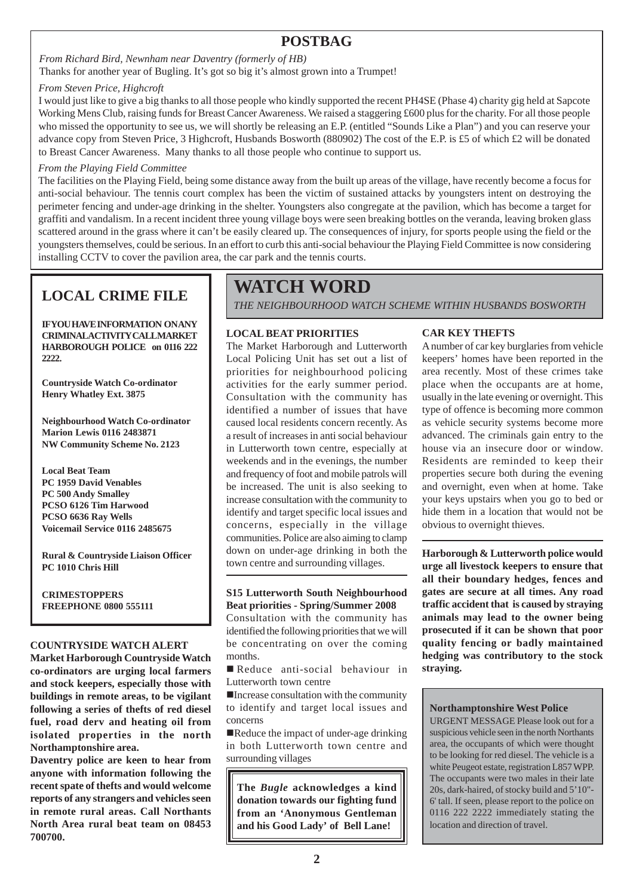### **POSTBAG**

### *From Richard Bird, Newnham near Daventry (formerly of HB)*

Thanks for another year of Bugling. It's got so big it's almost grown into a Trumpet!

#### *From Steven Price, Highcroft*

I would just like to give a big thanks to all those people who kindly supported the recent PH4SE (Phase 4) charity gig held at Sapcote Working Mens Club, raising funds for Breast Cancer Awareness. We raised a staggering £600 plus for the charity. For all those people who missed the opportunity to see us, we will shortly be releasing an E.P. (entitled "Sounds Like a Plan") and you can reserve your advance copy from Steven Price, 3 Highcroft, Husbands Bosworth (880902) The cost of the E.P. is £5 of which £2 will be donated to Breast Cancer Awareness. Many thanks to all those people who continue to support us.

#### *From the Playing Field Committee*

The facilities on the Playing Field, being some distance away from the built up areas of the village, have recently become a focus for anti-social behaviour. The tennis court complex has been the victim of sustained attacks by youngsters intent on destroying the perimeter fencing and under-age drinking in the shelter. Youngsters also congregate at the pavilion, which has become a target for graffiti and vandalism. In a recent incident three young village boys were seen breaking bottles on the veranda, leaving broken glass scattered around in the grass where it can't be easily cleared up. The consequences of injury, for sports people using the field or the youngsters themselves, could be serious. In an effort to curb this anti-social behaviour the Playing Field Committee is now considering installing CCTV to cover the pavilion area, the car park and the tennis courts.

### **LOCAL CRIME FILE**

**IFVOUHAVE INFORMATION ON ANY CRIMINAL ACTIVITY CALL MARKET HARBOROUGH POLICE on 0116 222 2222.**

**Countryside Watch Co-ordinator Henry Whatley Ext. 3875**

**Neighbourhood Watch Co-ordinator Marion Lewis 0116 2483871 NW Community Scheme No. 2123**

**Local Beat Team PC 1959 David Venables PC 500 Andy Smalley PCSO 6126 Tim Harwood PCSO 6636 Ray Wells Voicemail Service 0116 2485675**

**Rural & Countryside Liaison Officer PC 1010 Chris Hill**

**CRIMESTOPPERS FREEPHONE 0800 555111**

#### **COUNTRYSIDE WATCH ALERT**

**Market Harborough Countryside Watch co-ordinators are urging local farmers and stock keepers, especially those with buildings in remote areas, to be vigilant following a series of thefts of red diesel fuel, road derv and heating oil from isolated properties in the north Northamptonshire area.**

**Daventry police are keen to hear from anyone with information following the recent spate of thefts and would welcome reports of any strangers and vehicles seen in remote rural areas. Call Northants North Area rural beat team on 08453 700700.**

# **WATCH WORD**

*THE NEIGHBOURHOOD WATCH SCHEME WITHIN HUSBANDS BOSWORTH*

#### **LOCAL BEAT PRIORITIES**

The Market Harborough and Lutterworth Local Policing Unit has set out a list of priorities for neighbourhood policing activities for the early summer period. Consultation with the community has identified a number of issues that have caused local residents concern recently. As a result of increases in anti social behaviour in Lutterworth town centre, especially at weekends and in the evenings, the number and frequency of foot and mobile patrols will be increased. The unit is also seeking to increase consultation with the community to identify and target specific local issues and concerns, especially in the village communities. Police are also aiming to clamp down on under-age drinking in both the town centre and surrounding villages.

#### **S15 Lutterworth South Neighbourhood Beat priorities - Spring/Summer 2008**

Consultation with the community has identified the following priorities that we will be concentrating on over the coming months.

Reduce anti-social behaviour in Lutterworth town centre

!Increase consultation with the community to identify and target local issues and concerns

Reduce the impact of under-age drinking in both Lutterworth town centre and surrounding villages

**The** *Bugle* **acknowledges a kind donation towards our fighting fund from an 'Anonymous Gentleman and his Good Lady' of Bell Lane!**

#### **CAR KEY THEFTS**

A number of car key burglaries from vehicle keepers' homes have been reported in the area recently. Most of these crimes take place when the occupants are at home, usually in the late evening or overnight. This type of offence is becoming more common as vehicle security systems become more advanced. The criminals gain entry to the house via an insecure door or window. Residents are reminded to keep their properties secure both during the evening and overnight, even when at home. Take your keys upstairs when you go to bed or hide them in a location that would not be obvious to overnight thieves.

**Harborough & Lutterworth police would urge all livestock keepers to ensure that all their boundary hedges, fences and gates are secure at all times. Any road traffic accident that is caused by straying animals may lead to the owner being prosecuted if it can be shown that poor quality fencing or badly maintained hedging was contributory to the stock straying.**

#### **Northamptonshire West Police**

URGENT MESSAGE Please look out for a suspicious vehicle seen in the north Northants area, the occupants of which were thought to be looking for red diesel. The vehicle is a white Peugeot estate, registration L857 WPP. The occupants were two males in their late 20s, dark-haired, of stocky build and 5'10"- 6' tall. If seen, please report to the police on 0116 222 2222 immediately stating the location and direction of travel.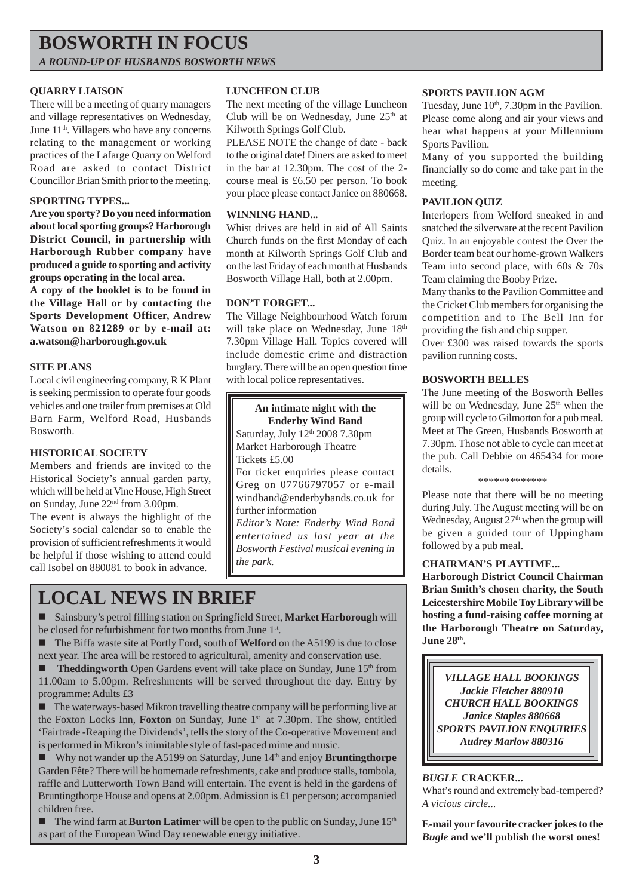### **BOSWORTH IN FOCUS** *A ROUND-UP OF HUSBANDS BOSWORTH NEWS*

#### **QUARRY LIAISON**

There will be a meeting of quarry managers and village representatives on Wednesday, June 11<sup>th</sup>. Villagers who have any concerns relating to the management or working practices of the Lafarge Quarry on Welford Road are asked to contact District Councillor Brian Smith prior to the meeting.

#### **SPORTING TYPES...**

**Are you sporty? Do you need information about local sporting groups? Harborough District Council, in partnership with Harborough Rubber company have produced a guide to sporting and activity groups operating in the local area.**

**A copy of the booklet is to be found in the Village Hall or by contacting the Sports Development Officer, Andrew Watson on 821289 or by e-mail at: a.watson@harborough.gov.uk**

#### **SITE PLANS**

Local civil engineering company, R K Plant is seeking permission to operate four goods vehicles and one trailer from premises at Old Barn Farm, Welford Road, Husbands Bosworth.

#### **HISTORICAL SOCIETY**

Members and friends are invited to the Historical Society's annual garden party, which will be held at Vine House, High Street on Sunday, June 22nd from 3.00pm. The event is always the highlight of the Society's social calendar so to enable the

provision of sufficient refreshments it would be helpful if those wishing to attend could call Isobel on 880081 to book in advance.

#### **LUNCHEON CLUB**

The next meeting of the village Luncheon Club will be on Wednesday, June 25<sup>th</sup> at Kilworth Springs Golf Club.

PLEASE NOTE the change of date - back to the original date! Diners are asked to meet in the bar at 12.30pm. The cost of the 2 course meal is £6.50 per person. To book your place please contact Janice on 880668.

#### **WINNING HAND...**

Whist drives are held in aid of All Saints Church funds on the first Monday of each month at Kilworth Springs Golf Club and on the last Friday of each month at Husbands Bosworth Village Hall, both at 2.00pm.

#### **DON'T FORGET...**

The Village Neighbourhood Watch forum will take place on Wednesday, June 18th 7.30pm Village Hall. Topics covered will include domestic crime and distraction burglary. There will be an open question time with local police representatives. **BOSWORTH BELLES** 

**An intimate night with the Enderby Wind Band** Saturday, July 12<sup>th</sup> 2008 7.30pm Market Harborough Theatre Tickets £5.00 For ticket enquiries please contact Greg on 07766797057 or e-mail windband@enderbybands.co.uk for further information *Editor's Note: Enderby Wind Band entertained us last year at the Bosworth Festival musical evening in the park.*

# **LOCAL NEWS IN BRIEF**

! Sainsbury's petrol filling station on Springfield Street, **Market Harborough** will be closed for refurbishment for two months from June 1st.

■ The Biffa waste site at Portly Ford, south of **Welford** on the A5199 is due to close next year. The area will be restored to agricultural, amenity and conservation use.

**Theddingworth** Open Gardens event will take place on Sunday, June 15<sup>th</sup> from 11.00am to 5.00pm. Refreshments will be served throughout the day. Entry by programme: Adults £3

! The waterways-based Mikron travelling theatre company will be performing live at the Foxton Locks Inn, **Foxton** on Sunday, June 1st at 7.30pm. The show, entitled 'Fairtrade -Reaping the Dividends', tells the story of the Co-operative Movement and is performed in Mikron's inimitable style of fast-paced mime and music.

■ Why not wander up the A5199 on Saturday, June 14<sup>th</sup> and enjoy **Bruntingthorpe** Garden Fête? There will be homemade refreshments, cake and produce stalls, tombola, raffle and Lutterworth Town Band will entertain. The event is held in the gardens of Bruntingthorpe House and opens at 2.00pm. Admission is £1 per person; accompanied children free.

■ The wind farm at **Burton Latimer** will be open to the public on Sunday, June 15<sup>th</sup> as part of the European Wind Day renewable energy initiative.

#### **SPORTS PAVILION AGM**

Tuesday, June 10<sup>th</sup>, 7.30pm in the Pavilion. Please come along and air your views and hear what happens at your Millennium Sports Pavilion.

Many of you supported the building financially so do come and take part in the meeting.

#### **PAVILION QUIZ**

Interlopers from Welford sneaked in and snatched the silverware at the recent Pavilion Quiz. In an enjoyable contest the Over the Border team beat our home-grown Walkers Team into second place, with 60s & 70s Team claiming the Booby Prize.

Many thanks to the Pavilion Committee and the Cricket Club members for organising the competition and to The Bell Inn for providing the fish and chip supper.

Over £300 was raised towards the sports pavilion running costs.

The June meeting of the Bosworth Belles will be on Wednesday, June 25<sup>th</sup> when the group will cycle to Gilmorton for a pub meal. Meet at The Green, Husbands Bosworth at 7.30pm. Those not able to cycle can meet at the pub. Call Debbie on 465434 for more details.

\*\*\*\*\*\*\*\*\*\*\*\*\*

Please note that there will be no meeting during July. The August meeting will be on Wednesday, August  $27<sup>th</sup>$  when the group will be given a guided tour of Uppingham followed by a pub meal.

#### **CHAIRMAN'S PLAYTIME...**

**Harborough District Council Chairman Brian Smith's chosen charity, the South Leicestershire Mobile Toy Library will be hosting a fund-raising coffee morning at the Harborough Theatre on Saturday, June 28th.**

*VILLAGE HALL BOOKINGS Jackie Fletcher 880910 CHURCH HALL BOOKINGS Janice Staples 880668 SPORTS PAVILION ENQUIRIES Audrey Marlow 880316*

#### *BUGLE* **CRACKER...**

What's round and extremely bad-tempered? *A vicious circle...*

**E-mail your favourite cracker jokes to the** *Bugle* **and we'll publish the worst ones!**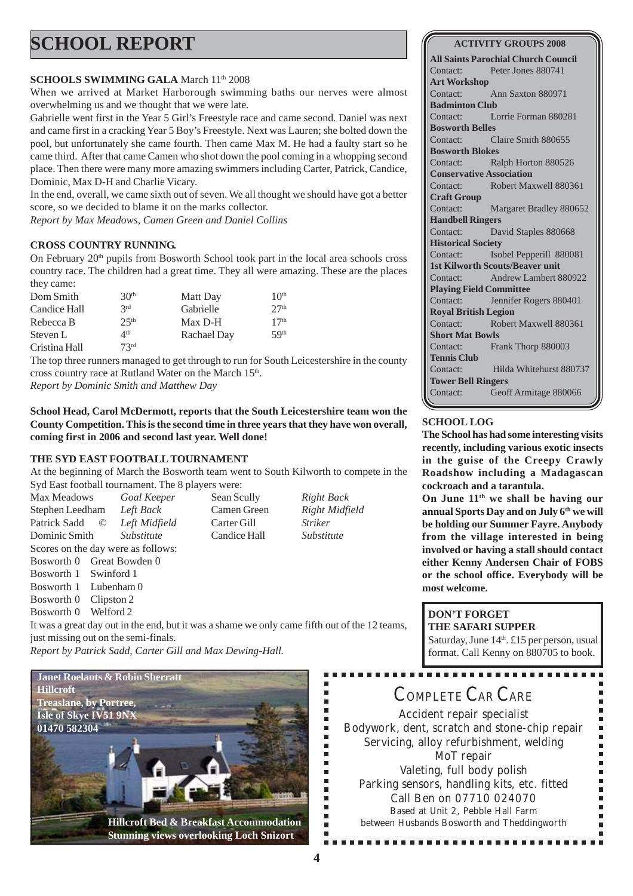# **SCHOOL REPORT**

### **SCHOOLS SWIMMING GALA** March 11<sup>th</sup> 2008

When we arrived at Market Harborough swimming baths our nerves were almost overwhelming us and we thought that we were late.

Gabrielle went first in the Year 5 Girl's Freestyle race and came second. Daniel was next and came first in a cracking Year 5 Boy's Freestyle. Next was Lauren; she bolted down the pool, but unfortunately she came fourth. Then came Max M. He had a faulty start so he came third. After that came Camen who shot down the pool coming in a whopping second place. Then there were many more amazing swimmers including Carter, Patrick, Candice, Dominic, Max D-H and Charlie Vicary.

In the end, overall, we came sixth out of seven. We all thought we should have got a better score, so we decided to blame it on the marks collector.

*Report by Max Meadows, Camen Green and Daniel Collins*

### **CROSS COUNTRY RUNNING.**

On February  $20<sup>th</sup>$  pupils from Bosworth School took part in the local area schools cross country race. The children had a great time. They all were amazing. These are the places they came:

| Dom Smith     | 30 <sup>th</sup>          | Matt Day    | 10 <sup>th</sup> |
|---------------|---------------------------|-------------|------------------|
| Candice Hall  | 2rd                       | Gabrielle   | 27 <sup>th</sup> |
| Rebecca B     | 2.5 <sup>th</sup>         | Max D-H     | 17 <sup>th</sup> |
| Steven L      | $\varDelta$ <sup>th</sup> | Rachael Day | 5Q <sup>th</sup> |
| Cristina Hall | 73 <sup>rd</sup>          |             |                  |

The top three runners managed to get through to run for South Leicestershire in the county cross country race at Rutland Water on the March 15<sup>th</sup>. *Report by Dominic Smith and Matthew Day*

**School Head, Carol McDermott, reports that the South Leicestershire team won the County Competition. This is the second time in three years that they have won overall, coming first in 2006 and second last year. Well done!**

### **THE SYD EAST FOOTBALL TOURNAMENT**

At the beginning of March the Bosworth team went to South Kilworth to compete in the Syd East football tournament. The 8 players were:

| Max Meadows                                                                                |                           | Goal Keeper       |  | Sean Scully  |  | Right Back        |
|--------------------------------------------------------------------------------------------|---------------------------|-------------------|--|--------------|--|-------------------|
| Stephen Leedham                                                                            |                           | Left Back         |  | Camen Green  |  | Right Midfield    |
| Patrick Sadd                                                                               | O                         | Left Midfield     |  | Carter Gill  |  | <i>Striker</i>    |
| Dominic Smith                                                                              |                           | <i>Substitute</i> |  | Candice Hall |  | <i>Substitute</i> |
| Scores on the day were as follows:                                                         |                           |                   |  |              |  |                   |
|                                                                                            | Bosworth 0 Great Bowden 0 |                   |  |              |  |                   |
| Bosworth 1 Swinford 1                                                                      |                           |                   |  |              |  |                   |
| Bosworth 1 Lubenham 0                                                                      |                           |                   |  |              |  |                   |
| $\mathbf{D}$ $\mathbf{A}$ $\mathbf{A}$ $\mathbf{C}$ $\mathbf{I}$ $\mathbf{A}$ $\mathbf{A}$ |                           |                   |  |              |  |                   |

Bosworth 0 Clipston 2

Bosworth 0 Welford 2

It was a great day out in the end, but it was a shame we only came fifth out of the 12 teams, just missing out on the semi-finals.

*Report by Patrick Sadd, Carter Gill and Max Dewing-Hall.*



**Stunning views overlooking Loch Snizort**

#### **ACTIVITY GROUPS 2008**

**All Saints Parochial Church Council** Contact: Peter Jones 880741 **Art Workshop** Contact: Ann Saxton 880971 **Badminton Club** Contact: Lorrie Forman 880281 **Bosworth Belles** Contact: Claire Smith 880655 **Bosworth Blokes** Contact: Ralph Horton 880526 **Conservative Association** Contact: Robert Maxwell 880361 **Craft Group** Contact: Margaret Bradley 880652 **Handbell Ringers** Contact: David Staples 880668 **Historical Society** Contact: Isobel Pepperill 880081 **1st Kilworth Scouts/Beaver unit** Contact: Andrew Lambert 880922 **Playing Field Committee** Contact: Jennifer Rogers 880401 **Royal British Legion** Contact: Robert Maxwell 880361 **Short Mat Bowls** Contact: Frank Thorp 880003 **Tennis Club** Contact: Hilda Whitehurst 880737 **Tower Bell Ringers** Contact: Geoff Armitage 880066

### **SCHOOL LOG**

**The School has had some interesting visits recently, including various exotic insects in the guise of the Creepy Crawly Roadshow including a Madagascan cockroach and a tarantula.**

**On June 11th we shall be having our annual Sports Day and on July 6th we will be holding our Summer Fayre. Anybody from the village interested in being involved or having a stall should contact either Kenny Andersen Chair of FOBS or the school office. Everybody will be most welcome.**

### **DON'T FORGET**

**THE SAFARI SUPPER** Saturday, June  $14<sup>th</sup>$ . £15 per person, usual format. Call Kenny on 880705 to book.

# COMPLETE CAR CARE

Accident repair specialist Bodywork, dent, scratch and stone-chip repair Servicing, alloy refurbishment, welding MoT repair Valeting, full body polish Parking sensors, handling kits, etc. fitted Call Ben on 07710 024070 Based at Unit 2, Pebble Hall Farm between Husbands Bosworth and Theddingworth

............

Ė É Ė É ī Ľ Ű. Ē. Ē. F É  $\blacksquare$ Ė É Ė Ė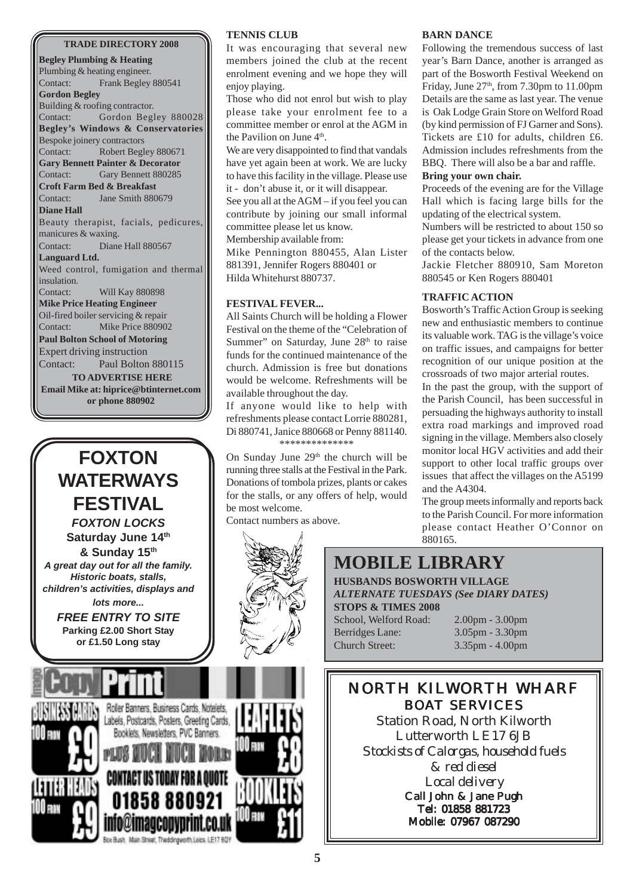#### **TRADE DIRECTORY 2008**

**Begley Plumbing & Heating** Plumbing & heating engineer. Contact: Frank Begley 880541 **Gordon Begley** Building & roofing contractor. Contact: Gordon Begley 880028 **Begley's Windows & Conservatories** Bespoke joinery contractors Contact: Robert Begley 880671 **Gary Bennett Painter & Decorator** Contact: Gary Bennett 880285 **Croft Farm Bed & Breakfast** Contact: Jane Smith 880679 **Diane Hall** Beauty therapist, facials, pedicures, manicures & waxing. Contact: Diane Hall 880567 **Languard Ltd.** Weed control, fumigation and thermal insulation. Contact: Will Kay 880898 **Mike Price Heating Engineer** Oil-fired boiler servicing & repair Contact: Mike Price 880902 **Paul Bolton School of Motoring** Expert driving instruction Contact: Paul Bolton 880115 **TO ADVERTISE HERE Email Mike at: hiprice@btinternet.com or phone 880902**



#### **TENNIS CLUB**

It was encouraging that several new members joined the club at the recent enrolment evening and we hope they will enjoy playing.

Those who did not enrol but wish to play please take your enrolment fee to a committee member or enrol at the AGM in the Pavilion on June  $4<sup>th</sup>$ .

We are very disappointed to find that vandals have yet again been at work. We are lucky to have this facility in the village. Please use it - don't abuse it, or it will disappear.

See you all at the AGM – if you feel you can contribute by joining our small informal committee please let us know. Membership available from:

Mike Pennington 880455, Alan Lister 881391, Jennifer Rogers 880401 or Hilda Whitehurst 880737.

#### **FESTIVAL FEVER...**

All Saints Church will be holding a Flower Festival on the theme of the "Celebration of Summer" on Saturday, June 28<sup>th</sup> to raise funds for the continued maintenance of the church. Admission is free but donations would be welcome. Refreshments will be available throughout the day.

If anyone would like to help with refreshments please contact Lorrie 880281, Di 880741, Janice 880668 or Penny 881140. \*\*\*\*\*\*\*\*\*\*\*\*\*\*

On Sunday June  $29<sup>th</sup>$  the church will be running three stalls at the Festival in the Park. Donations of tombola prizes, plants or cakes for the stalls, or any offers of help, would be most welcome.

Contact numbers as above.



### **BARN DANCE**

Following the tremendous success of last year's Barn Dance, another is arranged as part of the Bosworth Festival Weekend on Friday, June  $27<sup>th</sup>$ , from 7.30pm to 11.00pm Details are the same as last year. The venue is Oak Lodge Grain Store on Welford Road (by kind permission of FJ Garner and Sons). Tickets are £10 for adults, children £6. Admission includes refreshments from the BBQ.There will also be a bar and raffle.

#### **Bring your own chair.**

Proceeds of the evening are for the Village Hall which is facing large bills for the updating of the electrical system.

Numbers will be restricted to about 150 so please get your tickets in advance from one of the contacts below.

Jackie Fletcher 880910, Sam Moreton 880545 or Ken Rogers 880401

#### **TRAFFIC ACTION**

Bosworth's Traffic Action Group is seeking new and enthusiastic members to continue its valuable work. TAG is the village's voice on traffic issues, and campaigns for better recognition of our unique position at the crossroads of two major arterial routes.

In the past the group, with the support of the Parish Council, has been successful in persuading the highways authority to install extra road markings and improved road signing in the village. Members also closely monitor local HGV activities and add their support to other local traffic groups over issues that affect the villages on the A5199 and the A4304.

The group meets informally and reports back to the Parish Council. For more information please contact Heather O'Connor on 880165.

### **MOBILE LIBRARY**

**HUSBANDS BOSWORTH VILLAGE** *ALTERNATE TUESDAYS (See DIARY DATES)* **STOPS & TIMES 2008**

School, Welford Road: 2.00pm - 3.00pm Berridges Lane: 3.05pm - 3.30pm Church Street: 3.35pm - 4.00pm

### NORTH KILWORTH WHARF BOAT SERVICES Station Road, North Kilworth

Lutterworth LE17 6JB *Stockists of Calorgas, household fuels & red diesel Local delivery* Call John & Jane Pugh Tel: 01858 881723 Mobile: 07967 087290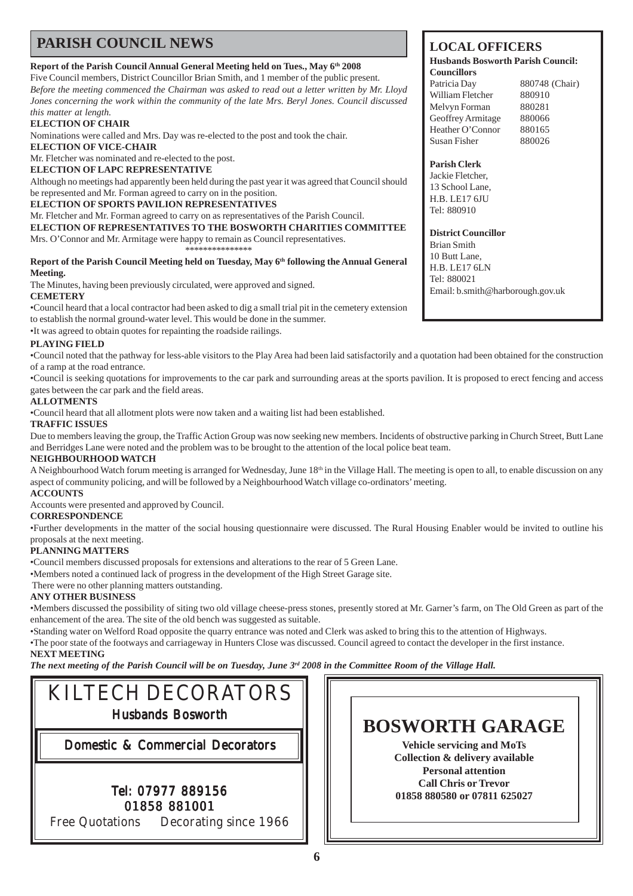### **PARISH COUNCIL NEWS**

#### **Report of the Parish Council Annual General Meeting held on Tues., May 6th 2008**

Five Council members, District Councillor Brian Smith, and 1 member of the public present. *Before the meeting commenced the Chairman was asked to read out a letter written by Mr. Lloyd Jones concerning the work within the community of the late Mrs. Beryl Jones. Council discussed this matter at length.*

#### **ELECTION OF CHAIR**

Nominations were called and Mrs. Day was re-elected to the post and took the chair.

**ELECTION OF VICE-CHAIR**

Mr. Fletcher was nominated and re-elected to the post.

**ELECTION OF LAPC REPRESENTATIVE**

Although no meetings had apparently been held during the past year it was agreed that Council should be represented and Mr. Forman agreed to carry on in the position.

#### **ELECTION OF SPORTS PAVILION REPRESENTATIVES**

Mr. Fletcher and Mr. Forman agreed to carry on as representatives of the Parish Council.

**ELECTION OF REPRESENTATIVES TO THE BOSWORTH CHARITIES COMMITTEE** Mrs. O'Connor and Mr. Armitage were happy to remain as Council representatives.

\*\*\*\*\*\*\*\*\*\*\*\*\*\*\*

#### Report of the Parish Council Meeting held on Tuesday, May 6<sup>th</sup> following the Annual General **Meeting.**

The Minutes, having been previously circulated, were approved and signed.

#### **CEMETERY**

•Council heard that a local contractor had been asked to dig a small trial pit in the cemetery extension to establish the normal ground-water level. This would be done in the summer.

•It was agreed to obtain quotes for repainting the roadside railings.

#### **PLAYING FIELD**

•Council noted that the pathway for less-able visitors to the Play Area had been laid satisfactorily and a quotation had been obtained for the construction of a ramp at the road entrance.

•Council is seeking quotations for improvements to the car park and surrounding areas at the sports pavilion. It is proposed to erect fencing and access gates between the car park and the field areas.

#### **ALLOTMENTS**

•Council heard that all allotment plots were now taken and a waiting list had been established.

#### **TRAFFIC ISSUES**

Due to members leaving the group, the Traffic Action Group was now seeking new members. Incidents of obstructive parking in Church Street, Butt Lane and Berridges Lane were noted and the problem was to be brought to the attention of the local police beat team.

#### **NEIGHBOURHOOD WATCH**

A Neighbourhood Watch forum meeting is arranged for Wednesday, June 18<sup>th</sup> in the Village Hall. The meeting is open to all, to enable discussion on any aspect of community policing, and will be followed by a Neighbourhood Watch village co-ordinators' meeting.

#### **ACCOUNTS**

Accounts were presented and approved by Council.

#### **CORRESPONDENCE**

•Further developments in the matter of the social housing questionnaire were discussed. The Rural Housing Enabler would be invited to outline his proposals at the next meeting.

#### **PLANNING MATTERS**

•Council members discussed proposals for extensions and alterations to the rear of 5 Green Lane.

•Members noted a continued lack of progress in the development of the High Street Garage site.

There were no other planning matters outstanding.

#### **ANY OTHER BUSINESS**

•Members discussed the possibility of siting two old village cheese-press stones, presently stored at Mr. Garner's farm, on The Old Green as part of the enhancement of the area. The site of the old bench was suggested as suitable.

•Standing water on Welford Road opposite the quarry entrance was noted and Clerk was asked to bring this to the attention of Highways. •The poor state of the footways and carriageway in Hunters Close was discussed. Council agreed to contact the developer in the first instance. **NEXT MEETING**

*The next meeting of the Parish Council will be on Tuesday, June 3rd 2008 in the Committee Room of the Village Hall.*



### **LOCAL OFFICERS**

#### **Husbands Bosworth Parish Council: Councillors**

Patricia Day 880748 (Chair) William Fletcher 880910 Melvyn Forman 880281 Geoffrey Armitage 880066 Heather O'Connor 880165 Susan Fisher 880026

#### **Parish Clerk**

Jackie Fletcher, 13 School Lane, H.B. LE17 6JU Tel: 880910

**District Councillor**

Brian Smith 10 Butt Lane, H.B. LE17 6LN Tel: 880021 Email: b.smith@harborough.gov.uk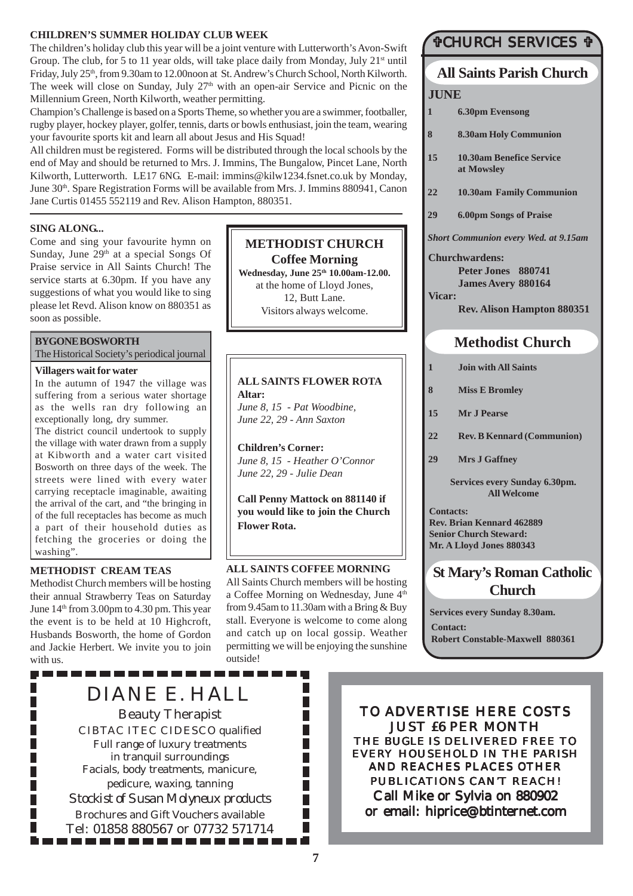#### **CHILDREN'S SUMMER HOLIDAY CLUB WEEK**

The children's holiday club this year will be a joint venture with Lutterworth's Avon-Swift Group. The club, for 5 to 11 year olds, will take place daily from Monday, July  $21^{st}$  until Friday, July 25<sup>th</sup>, from 9.30am to 12.00noon at St. Andrew's Church School, North Kilworth. The week will close on Sunday, July 27<sup>th</sup> with an open-air Service and Picnic on the Millennium Green, North Kilworth, weather permitting.

Champion's Challenge is based on a Sports Theme, so whether you are a swimmer, footballer, rugby player, hockey player, golfer, tennis, darts or bowls enthusiast, join the team, wearing your favourite sports kit and learn all about Jesus and His Squad!

All children must be registered. Forms will be distributed through the local schools by the end of May and should be returned to Mrs. J. Immins, The Bungalow, Pincet Lane, North Kilworth, Lutterworth. LE17 6NG. E-mail: immins@kilw1234.fsnet.co.uk by Monday, June 30<sup>th</sup>. Spare Registration Forms will be available from Mrs. J. Immins 880941, Canon Jane Curtis 01455 552119 and Rev. Alison Hampton, 880351.

#### **SING ALONG...**

Come and sing your favourite hymn on Sunday, June  $29<sup>th</sup>$  at a special Songs Of Praise service in All Saints Church! The service starts at 6.30pm. If you have any suggestions of what you would like to sing please let Revd. Alison know on 880351 as soon as possible.

#### **BYGONE BOSWORTH**

The Historical Society's periodical journal

#### **Villagers wait for water**

In the autumn of 1947 the village was suffering from a serious water shortage as the wells ran dry following an exceptionally long, dry summer.

The district council undertook to supply the village with water drawn from a supply at Kibworth and a water cart visited Bosworth on three days of the week. The streets were lined with every water carrying receptacle imaginable, awaiting the arrival of the cart, and "the bringing in of the full receptacles has become as much a part of their household duties as fetching the groceries or doing the washing".

#### **METHODIST CREAM TEAS**

----------

П

Methodist Church members will be hosting their annual Strawberry Teas on Saturday June  $14<sup>th</sup>$  from 3.00pm to 4.30 pm. This year the event is to be held at 10 Highcroft, Husbands Bosworth, the home of Gordon and Jackie Herbert. We invite you to join with us.

# **METHODIST CHURCH**

**Coffee Morning Wednesday, June 25th 10.00am-12.00.** at the home of Lloyd Jones, 12, Butt Lane. Visitors always welcome.

### **ALL SAINTS FLOWER ROTA Altar:**

*June 8, 15 - Pat Woodbine, June 22, 29 - Ann Saxton*

**Children's Corner:** *June 8, 15 - Heather O'Connor June 22, 29 - Julie Dean*

**Call Penny Mattock on 881140 if you would like to join the Church Flower Rota.**

#### **ALL SAINTS COFFEE MORNING**

All Saints Church members will be hosting a Coffee Morning on Wednesday, June 4<sup>th</sup> from 9.45am to 11.30am with a Bring & Buy stall. Everyone is welcome to come along and catch up on local gossip. Weather permitting we will be enjoying the sunshine outside!

Ш

П П П П П П П П П П ш

------

### #CHURCH SERVICES #

## **All Saints Parish Church**

#### **JUNE**

- **1 6.30pm Evensong**
- **8 8.30am Holy Communion**
- **15 10.30am Benefice Service at Mowsley**
- **22 10.30am Family Communion**
- **29 6.00pm Songs of Praise**

*Short Communion every Wed. at 9.15am*

**Churchwardens: Peter Jones 880741 James Avery 880164 Vicar:**

**Rev. Alison Hampton 880351**

### **Methodist Church**

- **1 Join with All Saints**
- **8 Miss E Bromley**
- **15 Mr J Pearse**
- **22 Rev. B Kennard (Communion)**
- **29 Mrs J Gaffney**

**Services every Sunday 6.30pm. All Welcome**

**Contacts: Rev. Brian Kennard 462889 Senior Church Steward: Mr. A Lloyd Jones 880343**

### **St Mary's Roman Catholic Church**

**Services every Sunday 8.30am. Contact: Robert Constable-Maxwell 880361**

DIANE E. HALL Beauty Therapist CIBTAC ITEC CIDESCO qualified Full range of luxury treatments in tranquil surroundings Facials, body treatments, manicure, pedicure, waxing, tanning *Stockist of Susan Molyneux products* Brochures and Gift Vouchers available Tel: 01858 880567 or 07732 571714

TO ADVERTISE HERE COSTS JUST £6 PER MONTH THE *BUGLE* IS DELIVERED FREE TO EVERY HOUSEHOLD IN THE PARISH AND REACHES PLACES OTHER PUBLICATIONS CAN'T REACH! Call Mike or Sylvia on 880902 or email: hiprice@btinternet.com